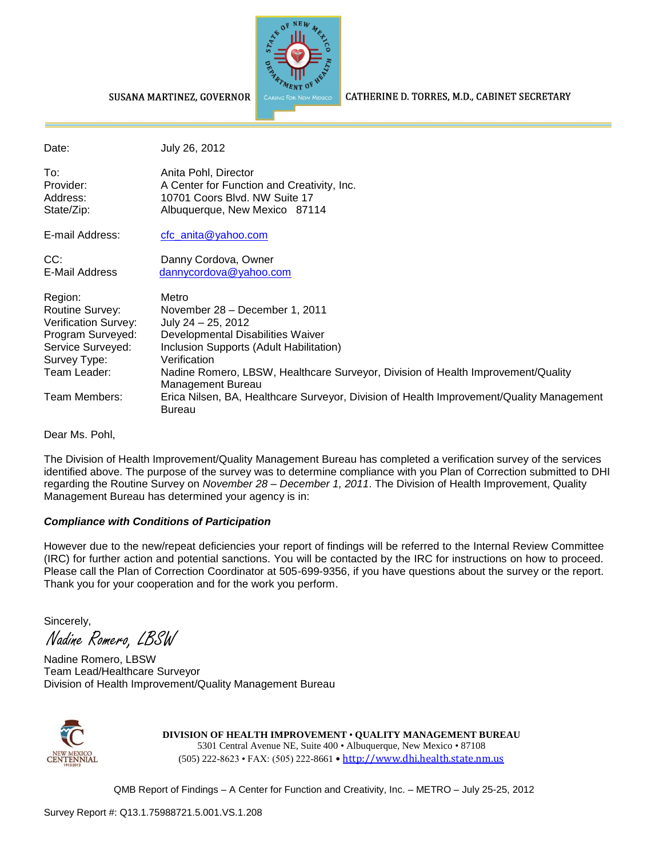

CATHERINE D. TORRES, M.D., CABINET SECRETARY

#### SUSANA MARTINEZ, GOVERNOR

| Date:                                                                                                                                         | July 26, 2012                                                                                                                                                                                                                                                                                                                                                                       |
|-----------------------------------------------------------------------------------------------------------------------------------------------|-------------------------------------------------------------------------------------------------------------------------------------------------------------------------------------------------------------------------------------------------------------------------------------------------------------------------------------------------------------------------------------|
| To:<br>Provider:<br>Address:<br>State/Zip:                                                                                                    | Anita Pohl, Director<br>A Center for Function and Creativity, Inc.<br>10701 Coors Blvd. NW Suite 17<br>Albuquerque, New Mexico 87114                                                                                                                                                                                                                                                |
| E-mail Address:                                                                                                                               | $ctc$ anita @ yahoo.com                                                                                                                                                                                                                                                                                                                                                             |
| CC:<br>E-Mail Address                                                                                                                         | Danny Cordova, Owner<br>dannycordova@yahoo.com                                                                                                                                                                                                                                                                                                                                      |
| Region:<br>Routine Survey:<br>Verification Survey:<br>Program Surveyed:<br>Service Surveyed:<br>Survey Type:<br>Team Leader:<br>Team Members: | Metro<br>November 28 - December 1, 2011<br>July 24 - 25, 2012<br>Developmental Disabilities Waiver<br>Inclusion Supports (Adult Habilitation)<br>Verification<br>Nadine Romero, LBSW, Healthcare Surveyor, Division of Health Improvement/Quality<br>Management Bureau<br>Erica Nilsen, BA, Healthcare Surveyor, Division of Health Improvement/Quality Management<br><b>Bureau</b> |
| Dear Ms. Pohl,                                                                                                                                |                                                                                                                                                                                                                                                                                                                                                                                     |

The Division of Health Improvement/Quality Management Bureau has completed a verification survey of the services identified above. The purpose of the survey was to determine compliance with you Plan of Correction submitted to DHI regarding the Routine Survey on *November 28 – December 1, 2011*. The Division of Health Improvement, Quality Management Bureau has determined your agency is in:

### *Compliance with Conditions of Participation*

However due to the new/repeat deficiencies your report of findings will be referred to the Internal Review Committee (IRC) for further action and potential sanctions. You will be contacted by the IRC for instructions on how to proceed. Please call the Plan of Correction Coordinator at 505-699-9356, if you have questions about the survey or the report. Thank you for your cooperation and for the work you perform.

Sincerely,

Nadine Romero, LBSW

Nadine Romero, LBSW Team Lead/Healthcare Surveyor Division of Health Improvement/Quality Management Bureau



**DIVISION OF HEALTH IMPROVEMENT** • **QUALITY MANAGEMENT BUREAU** 5301 Central Avenue NE, Suite 400 • Albuquerque, New Mexico • 87108 (505) 222-8623 • FAX: (505) 222-8661 • http://www.dhi.health.state.nm.us

QMB Report of Findings – A Center for Function and Creativity, Inc. – METRO – July 25-25, 2012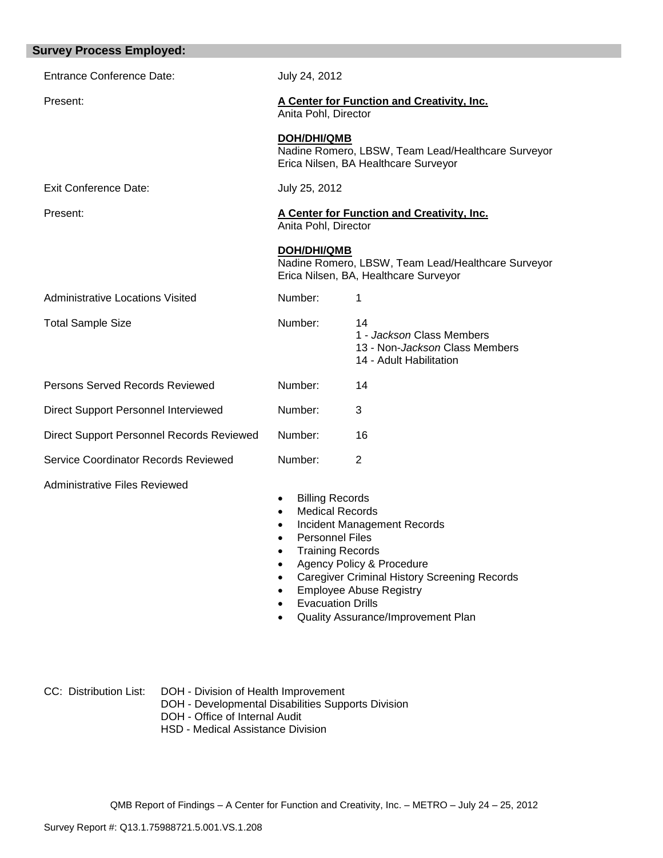| <b>Survey Process Employed:</b>           |                                                                                                                                                                                                                                                                                                                                                        |                                                                                                      |  |  |
|-------------------------------------------|--------------------------------------------------------------------------------------------------------------------------------------------------------------------------------------------------------------------------------------------------------------------------------------------------------------------------------------------------------|------------------------------------------------------------------------------------------------------|--|--|
| <b>Entrance Conference Date:</b>          | July 24, 2012                                                                                                                                                                                                                                                                                                                                          |                                                                                                      |  |  |
| Present:                                  | A Center for Function and Creativity, Inc.<br>Anita Pohl, Director                                                                                                                                                                                                                                                                                     |                                                                                                      |  |  |
|                                           | <b>DOH/DHI/QMB</b>                                                                                                                                                                                                                                                                                                                                     | Nadine Romero, LBSW, Team Lead/Healthcare Surveyor<br>Erica Nilsen, BA Healthcare Surveyor           |  |  |
| <b>Exit Conference Date:</b>              | July 25, 2012                                                                                                                                                                                                                                                                                                                                          |                                                                                                      |  |  |
| Present:                                  | Anita Pohl, Director                                                                                                                                                                                                                                                                                                                                   | A Center for Function and Creativity, Inc.                                                           |  |  |
|                                           | <b>DOH/DHI/QMB</b>                                                                                                                                                                                                                                                                                                                                     | Nadine Romero, LBSW, Team Lead/Healthcare Surveyor<br>Erica Nilsen, BA, Healthcare Surveyor          |  |  |
| <b>Administrative Locations Visited</b>   | Number:                                                                                                                                                                                                                                                                                                                                                | 1                                                                                                    |  |  |
| <b>Total Sample Size</b>                  | Number:                                                                                                                                                                                                                                                                                                                                                | 14<br>1 - Jackson Class Members<br>13 - Non- <i>Jackson</i> Class Members<br>14 - Adult Habilitation |  |  |
| Persons Served Records Reviewed           | Number:                                                                                                                                                                                                                                                                                                                                                | 14                                                                                                   |  |  |
| Direct Support Personnel Interviewed      | Number:                                                                                                                                                                                                                                                                                                                                                | 3                                                                                                    |  |  |
| Direct Support Personnel Records Reviewed | Number:                                                                                                                                                                                                                                                                                                                                                | 16                                                                                                   |  |  |
| Service Coordinator Records Reviewed      | Number:                                                                                                                                                                                                                                                                                                                                                | 2                                                                                                    |  |  |
| <b>Administrative Files Reviewed</b>      | <b>Billing Records</b><br>$\bullet$<br><b>Medical Records</b><br>Incident Management Records<br>$\bullet$<br><b>Personnel Files</b><br><b>Training Records</b><br>Agency Policy & Procedure<br><b>Caregiver Criminal History Screening Records</b><br><b>Employee Abuse Registry</b><br><b>Evacuation Drills</b><br>Quality Assurance/Improvement Plan |                                                                                                      |  |  |

CC: Distribution List: DOH - Division of Health Improvement DOH - Developmental Disabilities Supports Division DOH - Office of Internal Audit HSD - Medical Assistance Division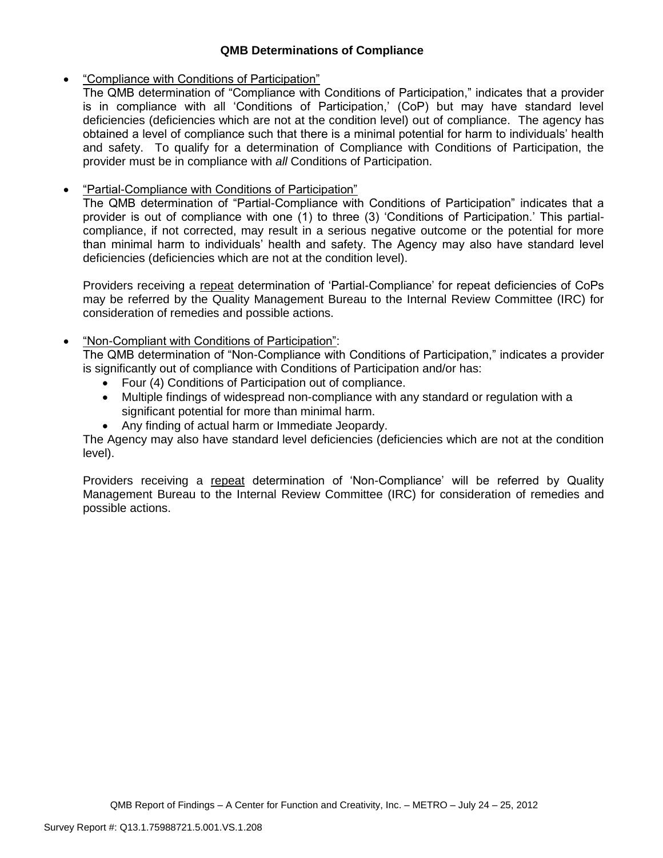### **QMB Determinations of Compliance**

### "Compliance with Conditions of Participation"

The QMB determination of "Compliance with Conditions of Participation," indicates that a provider is in compliance with all 'Conditions of Participation,' (CoP) but may have standard level deficiencies (deficiencies which are not at the condition level) out of compliance. The agency has obtained a level of compliance such that there is a minimal potential for harm to individuals' health and safety. To qualify for a determination of Compliance with Conditions of Participation, the provider must be in compliance with *all* Conditions of Participation.

# "Partial-Compliance with Conditions of Participation"

The QMB determination of "Partial-Compliance with Conditions of Participation" indicates that a provider is out of compliance with one (1) to three (3) 'Conditions of Participation.' This partialcompliance, if not corrected, may result in a serious negative outcome or the potential for more than minimal harm to individuals' health and safety. The Agency may also have standard level deficiencies (deficiencies which are not at the condition level).

Providers receiving a repeat determination of 'Partial-Compliance' for repeat deficiencies of CoPs may be referred by the Quality Management Bureau to the Internal Review Committee (IRC) for consideration of remedies and possible actions.

## "Non-Compliant with Conditions of Participation":

The QMB determination of "Non-Compliance with Conditions of Participation," indicates a provider is significantly out of compliance with Conditions of Participation and/or has:

- Four (4) Conditions of Participation out of compliance.
- Multiple findings of widespread non-compliance with any standard or regulation with a significant potential for more than minimal harm.
- Any finding of actual harm or Immediate Jeopardy.

The Agency may also have standard level deficiencies (deficiencies which are not at the condition level).

Providers receiving a repeat determination of 'Non-Compliance' will be referred by Quality Management Bureau to the Internal Review Committee (IRC) for consideration of remedies and possible actions.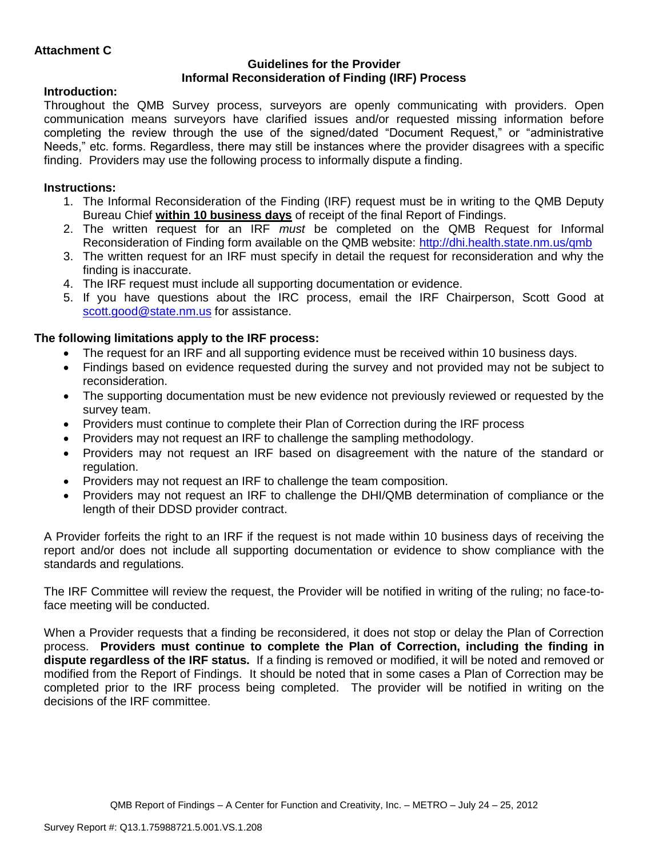### **Guidelines for the Provider Informal Reconsideration of Finding (IRF) Process**

## **Introduction:**

Throughout the QMB Survey process, surveyors are openly communicating with providers. Open communication means surveyors have clarified issues and/or requested missing information before completing the review through the use of the signed/dated "Document Request," or "administrative Needs," etc. forms. Regardless, there may still be instances where the provider disagrees with a specific finding. Providers may use the following process to informally dispute a finding.

# **Instructions:**

- 1. The Informal Reconsideration of the Finding (IRF) request must be in writing to the QMB Deputy Bureau Chief **within 10 business days** of receipt of the final Report of Findings.
- 2. The written request for an IRF *must* be completed on the QMB Request for Informal Reconsideration of Finding form available on the QMB website:<http://dhi.health.state.nm.us/qmb>
- 3. The written request for an IRF must specify in detail the request for reconsideration and why the finding is inaccurate.
- 4. The IRF request must include all supporting documentation or evidence.
- 5. If you have questions about the IRC process, email the IRF Chairperson, Scott Good at [scott.good@state.nm.us](mailto:scott.good@state.nm.us) for assistance.

## **The following limitations apply to the IRF process:**

- The request for an IRF and all supporting evidence must be received within 10 business days.
- Findings based on evidence requested during the survey and not provided may not be subject to reconsideration.
- The supporting documentation must be new evidence not previously reviewed or requested by the survey team.
- Providers must continue to complete their Plan of Correction during the IRF process
- Providers may not request an IRF to challenge the sampling methodology.
- Providers may not request an IRF based on disagreement with the nature of the standard or regulation.
- Providers may not request an IRF to challenge the team composition.
- Providers may not request an IRF to challenge the DHI/QMB determination of compliance or the length of their DDSD provider contract.

A Provider forfeits the right to an IRF if the request is not made within 10 business days of receiving the report and/or does not include all supporting documentation or evidence to show compliance with the standards and regulations.

The IRF Committee will review the request, the Provider will be notified in writing of the ruling; no face-toface meeting will be conducted.

When a Provider requests that a finding be reconsidered, it does not stop or delay the Plan of Correction process. **Providers must continue to complete the Plan of Correction, including the finding in dispute regardless of the IRF status.** If a finding is removed or modified, it will be noted and removed or modified from the Report of Findings. It should be noted that in some cases a Plan of Correction may be completed prior to the IRF process being completed. The provider will be notified in writing on the decisions of the IRF committee.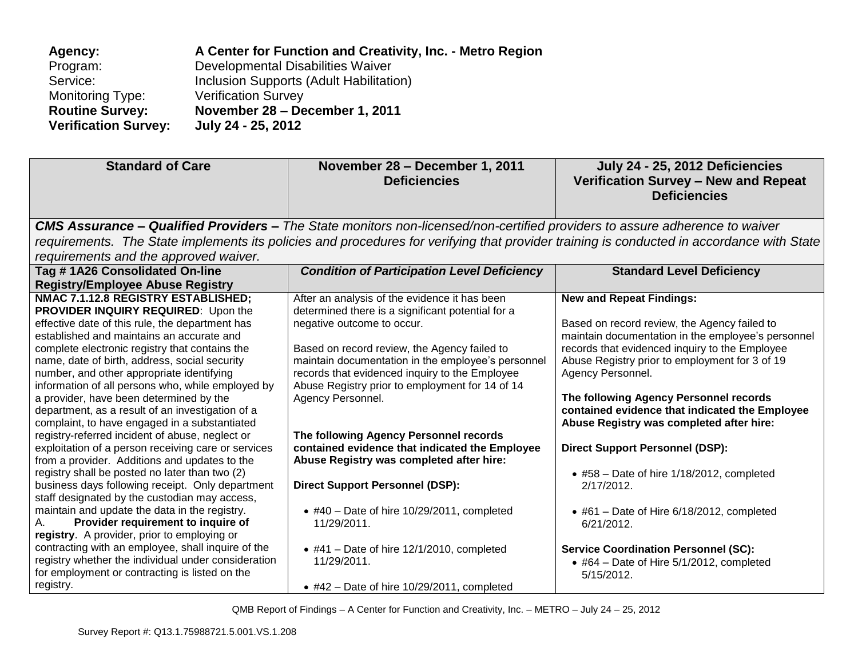| Agency:                     | A Center for Function and Creativity, Inc. - Metro Region |
|-----------------------------|-----------------------------------------------------------|
| Program:                    | Developmental Disabilities Waiver                         |
| Service:                    | Inclusion Supports (Adult Habilitation)                   |
| Monitoring Type:            | <b>Verification Survey</b>                                |
| <b>Routine Survey:</b>      | November 28 - December 1, 2011                            |
| <b>Verification Survey:</b> | July 24 - 25, 2012                                        |

| <b>Standard of Care</b>                                                                                                                                                                                                                                                                                                                                                                                                                                                                                                                                                                                                                                                                                                                                                                                                                                                                                                                                       | November 28 - December 1, 2011<br><b>Deficiencies</b>                                                                                                                                                                                                                                                                                                                                                                                                                                                                                                                  | July 24 - 25, 2012 Deficiencies<br>Verification Survey - New and Repeat<br><b>Deficiencies</b>                                                                                                                                                                                                                                                                                                                                                                                                                                                         |
|---------------------------------------------------------------------------------------------------------------------------------------------------------------------------------------------------------------------------------------------------------------------------------------------------------------------------------------------------------------------------------------------------------------------------------------------------------------------------------------------------------------------------------------------------------------------------------------------------------------------------------------------------------------------------------------------------------------------------------------------------------------------------------------------------------------------------------------------------------------------------------------------------------------------------------------------------------------|------------------------------------------------------------------------------------------------------------------------------------------------------------------------------------------------------------------------------------------------------------------------------------------------------------------------------------------------------------------------------------------------------------------------------------------------------------------------------------------------------------------------------------------------------------------------|--------------------------------------------------------------------------------------------------------------------------------------------------------------------------------------------------------------------------------------------------------------------------------------------------------------------------------------------------------------------------------------------------------------------------------------------------------------------------------------------------------------------------------------------------------|
|                                                                                                                                                                                                                                                                                                                                                                                                                                                                                                                                                                                                                                                                                                                                                                                                                                                                                                                                                               | CMS Assurance - Qualified Providers - The State monitors non-licensed/non-certified providers to assure adherence to waiver                                                                                                                                                                                                                                                                                                                                                                                                                                            |                                                                                                                                                                                                                                                                                                                                                                                                                                                                                                                                                        |
|                                                                                                                                                                                                                                                                                                                                                                                                                                                                                                                                                                                                                                                                                                                                                                                                                                                                                                                                                               |                                                                                                                                                                                                                                                                                                                                                                                                                                                                                                                                                                        | requirements. The State implements its policies and procedures for verifying that provider training is conducted in accordance with State                                                                                                                                                                                                                                                                                                                                                                                                              |
| requirements and the approved waiver.                                                                                                                                                                                                                                                                                                                                                                                                                                                                                                                                                                                                                                                                                                                                                                                                                                                                                                                         |                                                                                                                                                                                                                                                                                                                                                                                                                                                                                                                                                                        |                                                                                                                                                                                                                                                                                                                                                                                                                                                                                                                                                        |
| Tag #1A26 Consolidated On-line                                                                                                                                                                                                                                                                                                                                                                                                                                                                                                                                                                                                                                                                                                                                                                                                                                                                                                                                | <b>Condition of Participation Level Deficiency</b>                                                                                                                                                                                                                                                                                                                                                                                                                                                                                                                     | <b>Standard Level Deficiency</b>                                                                                                                                                                                                                                                                                                                                                                                                                                                                                                                       |
| <b>Registry/Employee Abuse Registry</b>                                                                                                                                                                                                                                                                                                                                                                                                                                                                                                                                                                                                                                                                                                                                                                                                                                                                                                                       |                                                                                                                                                                                                                                                                                                                                                                                                                                                                                                                                                                        |                                                                                                                                                                                                                                                                                                                                                                                                                                                                                                                                                        |
| NMAC 7.1.12.8 REGISTRY ESTABLISHED;                                                                                                                                                                                                                                                                                                                                                                                                                                                                                                                                                                                                                                                                                                                                                                                                                                                                                                                           | After an analysis of the evidence it has been                                                                                                                                                                                                                                                                                                                                                                                                                                                                                                                          | <b>New and Repeat Findings:</b>                                                                                                                                                                                                                                                                                                                                                                                                                                                                                                                        |
| <b>PROVIDER INQUIRY REQUIRED:</b> Upon the<br>effective date of this rule, the department has<br>established and maintains an accurate and<br>complete electronic registry that contains the<br>name, date of birth, address, social security<br>number, and other appropriate identifying<br>information of all persons who, while employed by<br>a provider, have been determined by the<br>department, as a result of an investigation of a<br>complaint, to have engaged in a substantiated<br>registry-referred incident of abuse, neglect or<br>exploitation of a person receiving care or services<br>from a provider. Additions and updates to the<br>registry shall be posted no later than two (2)<br>business days following receipt. Only department<br>staff designated by the custodian may access,<br>maintain and update the data in the registry.<br>Provider requirement to inquire of<br>А.<br>registry. A provider, prior to employing or | determined there is a significant potential for a<br>negative outcome to occur.<br>Based on record review, the Agency failed to<br>maintain documentation in the employee's personnel<br>records that evidenced inquiry to the Employee<br>Abuse Registry prior to employment for 14 of 14<br>Agency Personnel.<br>The following Agency Personnel records<br>contained evidence that indicated the Employee<br>Abuse Registry was completed after hire:<br><b>Direct Support Personnel (DSP):</b><br>$\bullet$ #40 - Date of hire 10/29/2011, completed<br>11/29/2011. | Based on record review, the Agency failed to<br>maintain documentation in the employee's personnel<br>records that evidenced inquiry to the Employee<br>Abuse Registry prior to employment for 3 of 19<br>Agency Personnel.<br>The following Agency Personnel records<br>contained evidence that indicated the Employee<br>Abuse Registry was completed after hire:<br><b>Direct Support Personnel (DSP):</b><br>$\bullet$ #58 - Date of hire 1/18/2012, completed<br>2/17/2012.<br>$\bullet$ #61 - Date of Hire 6/18/2012, completed<br>$6/21/2012$ . |
| contracting with an employee, shall inquire of the<br>registry whether the individual under consideration<br>for employment or contracting is listed on the<br>registry.                                                                                                                                                                                                                                                                                                                                                                                                                                                                                                                                                                                                                                                                                                                                                                                      | $\bullet$ #41 - Date of hire 12/1/2010, completed<br>11/29/2011.<br>$\bullet$ #42 - Date of hire 10/29/2011, completed                                                                                                                                                                                                                                                                                                                                                                                                                                                 | <b>Service Coordination Personnel (SC):</b><br>$\bullet$ #64 - Date of Hire 5/1/2012, completed<br>5/15/2012.                                                                                                                                                                                                                                                                                                                                                                                                                                          |

QMB Report of Findings – A Center for Function and Creativity, Inc. – METRO – July 24 – 25, 2012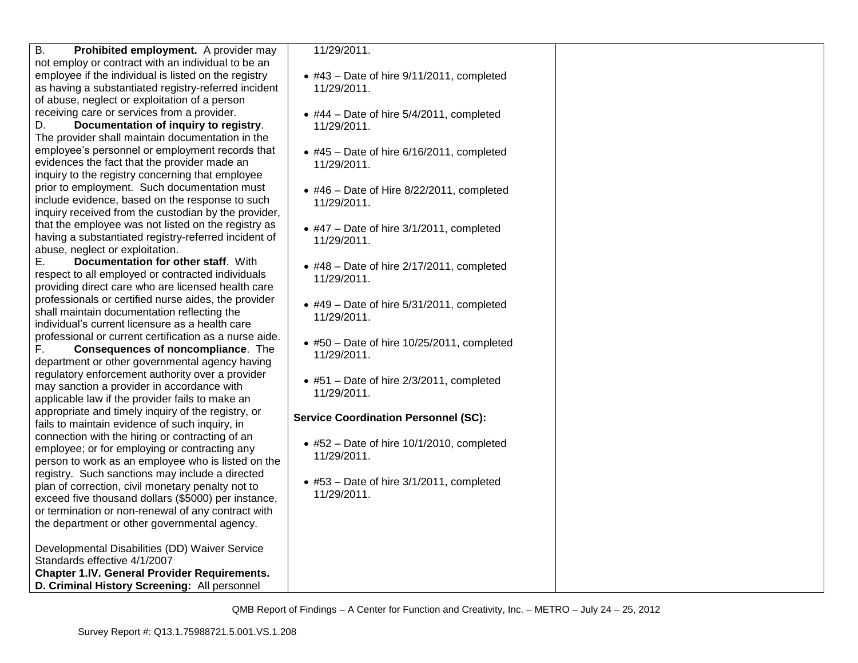| Β.<br>Prohibited employment. A provider may            | 11/29/2011.                                       |  |
|--------------------------------------------------------|---------------------------------------------------|--|
| not employ or contract with an individual to be an     |                                                   |  |
| employee if the individual is listed on the registry   | $\bullet$ #43 - Date of hire 9/11/2011, completed |  |
| as having a substantiated registry-referred incident   | 11/29/2011.                                       |  |
| of abuse, neglect or exploitation of a person          |                                                   |  |
| receiving care or services from a provider.            |                                                   |  |
| D.<br>Documentation of inquiry to registry.            | $\bullet$ #44 - Date of hire 5/4/2011, completed  |  |
|                                                        | 11/29/2011.                                       |  |
| The provider shall maintain documentation in the       |                                                   |  |
| employee's personnel or employment records that        | • #45 - Date of hire 6/16/2011, completed         |  |
| evidences the fact that the provider made an           | 11/29/2011.                                       |  |
| inquiry to the registry concerning that employee       |                                                   |  |
| prior to employment. Such documentation must           | $\bullet$ #46 - Date of Hire 8/22/2011, completed |  |
| include evidence, based on the response to such        | 11/29/2011.                                       |  |
| inquiry received from the custodian by the provider,   |                                                   |  |
| that the employee was not listed on the registry as    | $\bullet$ #47 – Date of hire 3/1/2011, completed  |  |
| having a substantiated registry-referred incident of   |                                                   |  |
| abuse, neglect or exploitation.                        | 11/29/2011.                                       |  |
| Documentation for other staff. With<br>Е.              |                                                   |  |
|                                                        | • #48 - Date of hire 2/17/2011, completed         |  |
| respect to all employed or contracted individuals      | 11/29/2011.                                       |  |
| providing direct care who are licensed health care     |                                                   |  |
| professionals or certified nurse aides, the provider   | $\bullet$ #49 - Date of hire 5/31/2011, completed |  |
| shall maintain documentation reflecting the            | 11/29/2011.                                       |  |
| individual's current licensure as a health care        |                                                   |  |
| professional or current certification as a nurse aide. | $*$ #50 - Date of hire 10/25/2011, completed      |  |
| F.<br>Consequences of noncompliance. The               | 11/29/2011.                                       |  |
| department or other governmental agency having         |                                                   |  |
| regulatory enforcement authority over a provider       |                                                   |  |
| may sanction a provider in accordance with             | $\bullet$ #51 - Date of hire 2/3/2011, completed  |  |
| applicable law if the provider fails to make an        | 11/29/2011.                                       |  |
| appropriate and timely inquiry of the registry, or     |                                                   |  |
| fails to maintain evidence of such inquiry, in         | <b>Service Coordination Personnel (SC):</b>       |  |
| connection with the hiring or contracting of an        |                                                   |  |
| employee; or for employing or contracting any          | $\bullet$ #52 - Date of hire 10/1/2010, completed |  |
|                                                        | 11/29/2011.                                       |  |
| person to work as an employee who is listed on the     |                                                   |  |
| registry. Such sanctions may include a directed        | $\bullet$ #53 - Date of hire 3/1/2011, completed  |  |
| plan of correction, civil monetary penalty not to      | 11/29/2011.                                       |  |
| exceed five thousand dollars (\$5000) per instance,    |                                                   |  |
| or termination or non-renewal of any contract with     |                                                   |  |
| the department or other governmental agency.           |                                                   |  |
|                                                        |                                                   |  |
| Developmental Disabilities (DD) Waiver Service         |                                                   |  |
| Standards effective 4/1/2007                           |                                                   |  |
| <b>Chapter 1.IV. General Provider Requirements.</b>    |                                                   |  |
| D. Criminal History Screening: All personnel           |                                                   |  |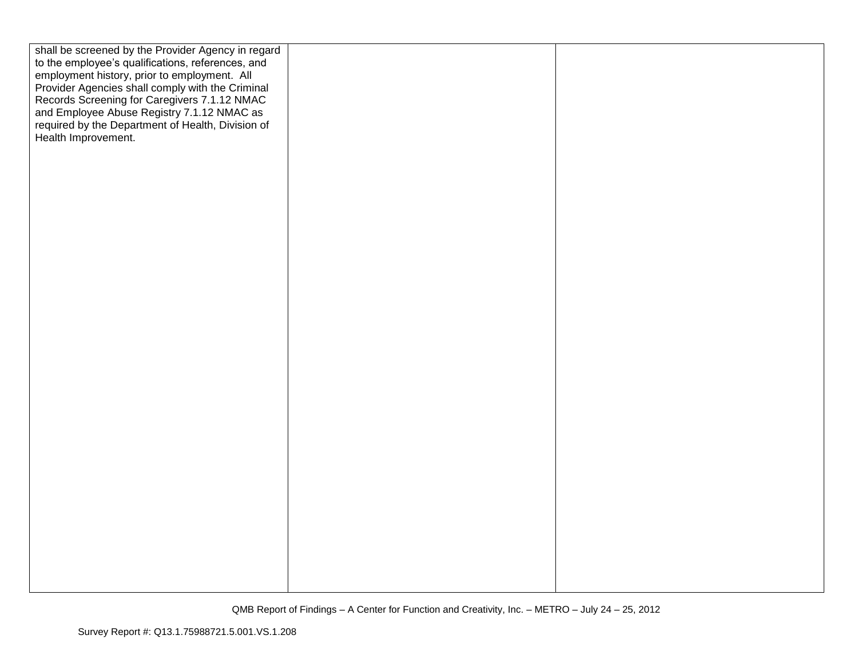| shall be screened by the Provider Agency in regard<br>to the employee's qualifications, references, and<br>employment history, prior to employment. All<br>Provider Agencies shall comply with the Criminal<br>Records Screening for Caregivers 7.1.12 NMAC |  |
|-------------------------------------------------------------------------------------------------------------------------------------------------------------------------------------------------------------------------------------------------------------|--|
| and Employee Abuse Registry 7.1.12 NMAC as<br>required by the Department of Health, Division of<br>Health Improvement.                                                                                                                                      |  |
|                                                                                                                                                                                                                                                             |  |
|                                                                                                                                                                                                                                                             |  |
|                                                                                                                                                                                                                                                             |  |
|                                                                                                                                                                                                                                                             |  |
|                                                                                                                                                                                                                                                             |  |
|                                                                                                                                                                                                                                                             |  |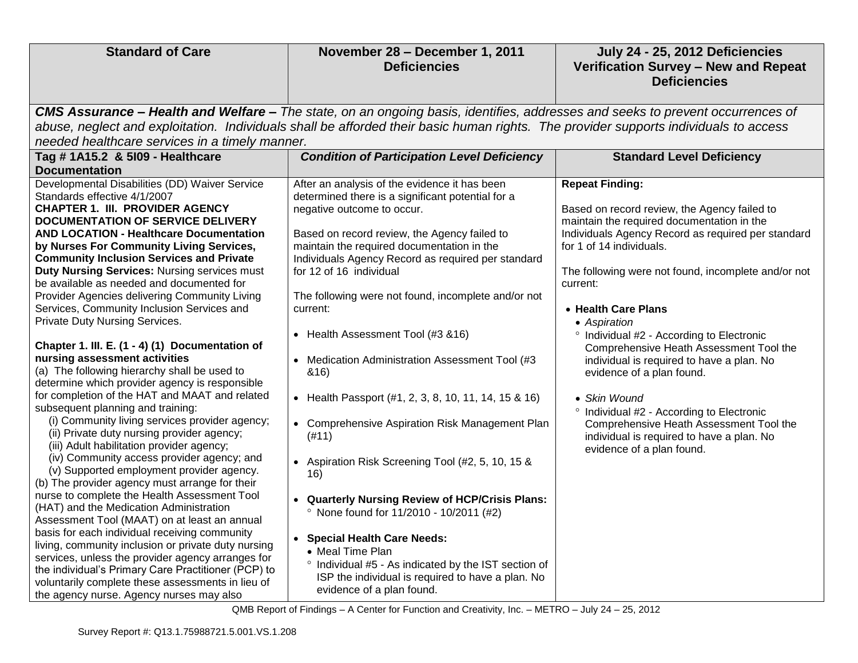| <b>Standard of Care</b>                                                                    | November 28 - December 1, 2011<br><b>Deficiencies</b>                                                                                | July 24 - 25, 2012 Deficiencies<br>Verification Survey - New and Repeat<br><b>Deficiencies</b>   |
|--------------------------------------------------------------------------------------------|--------------------------------------------------------------------------------------------------------------------------------------|--------------------------------------------------------------------------------------------------|
|                                                                                            | CMS Assurance - Health and Welfare - The state, on an ongoing basis, identifies, addresses and seeks to prevent occurrences of       |                                                                                                  |
|                                                                                            | abuse, neglect and exploitation. Individuals shall be afforded their basic human rights. The provider supports individuals to access |                                                                                                  |
| needed healthcare services in a timely manner.                                             |                                                                                                                                      |                                                                                                  |
| Tag # 1A15.2 & 5109 - Healthcare                                                           | <b>Condition of Participation Level Deficiency</b>                                                                                   | <b>Standard Level Deficiency</b>                                                                 |
| <b>Documentation</b>                                                                       |                                                                                                                                      |                                                                                                  |
| Developmental Disabilities (DD) Waiver Service                                             | After an analysis of the evidence it has been                                                                                        | <b>Repeat Finding:</b>                                                                           |
| Standards effective 4/1/2007                                                               | determined there is a significant potential for a                                                                                    |                                                                                                  |
| <b>CHAPTER 1. III. PROVIDER AGENCY</b>                                                     | negative outcome to occur.                                                                                                           | Based on record review, the Agency failed to                                                     |
| <b>DOCUMENTATION OF SERVICE DELIVERY</b><br><b>AND LOCATION - Healthcare Documentation</b> | Based on record review, the Agency failed to                                                                                         | maintain the required documentation in the<br>Individuals Agency Record as required per standard |
| by Nurses For Community Living Services,                                                   | maintain the required documentation in the                                                                                           | for 1 of 14 individuals.                                                                         |
| <b>Community Inclusion Services and Private</b>                                            | Individuals Agency Record as required per standard                                                                                   |                                                                                                  |
| <b>Duty Nursing Services: Nursing services must</b>                                        | for 12 of 16 individual                                                                                                              | The following were not found, incomplete and/or not                                              |
| be available as needed and documented for                                                  |                                                                                                                                      | current:                                                                                         |
| Provider Agencies delivering Community Living                                              | The following were not found, incomplete and/or not                                                                                  |                                                                                                  |
| Services, Community Inclusion Services and                                                 | current:                                                                                                                             | • Health Care Plans                                                                              |
| Private Duty Nursing Services.                                                             |                                                                                                                                      | • Aspiration                                                                                     |
|                                                                                            | • Health Assessment Tool (#3 &16)                                                                                                    | <sup>o</sup> Individual #2 - According to Electronic                                             |
| Chapter 1. III. E. (1 - 4) (1) Documentation of                                            |                                                                                                                                      | Comprehensive Heath Assessment Tool the                                                          |
| nursing assessment activities                                                              | • Medication Administration Assessment Tool (#3                                                                                      | individual is required to have a plan. No                                                        |
| (a) The following hierarchy shall be used to                                               | &16)                                                                                                                                 | evidence of a plan found.                                                                        |
| determine which provider agency is responsible                                             |                                                                                                                                      |                                                                                                  |
| for completion of the HAT and MAAT and related                                             | • Health Passport (#1, 2, 3, 8, 10, 11, 14, 15 & 16)                                                                                 | • Skin Wound                                                                                     |
| subsequent planning and training:                                                          |                                                                                                                                      | <sup>o</sup> Individual #2 - According to Electronic                                             |
| (i) Community living services provider agency;                                             | • Comprehensive Aspiration Risk Management Plan                                                                                      | Comprehensive Heath Assessment Tool the                                                          |
| (ii) Private duty nursing provider agency;                                                 | (H11)                                                                                                                                | individual is required to have a plan. No                                                        |
| (iii) Adult habilitation provider agency;<br>(iv) Community access provider agency; and    |                                                                                                                                      | evidence of a plan found.                                                                        |
| (v) Supported employment provider agency.                                                  | • Aspiration Risk Screening Tool (#2, 5, 10, 15 &                                                                                    |                                                                                                  |
| (b) The provider agency must arrange for their                                             | 16)                                                                                                                                  |                                                                                                  |
| nurse to complete the Health Assessment Tool                                               |                                                                                                                                      |                                                                                                  |
| (HAT) and the Medication Administration                                                    | • Quarterly Nursing Review of HCP/Crisis Plans:                                                                                      |                                                                                                  |
| Assessment Tool (MAAT) on at least an annual                                               | <sup>o</sup> None found for 11/2010 - 10/2011 (#2)                                                                                   |                                                                                                  |
| basis for each individual receiving community                                              |                                                                                                                                      |                                                                                                  |
| living, community inclusion or private duty nursing                                        | • Special Health Care Needs:<br>• Meal Time Plan                                                                                     |                                                                                                  |
| services, unless the provider agency arranges for                                          | ° Individual #5 - As indicated by the IST section of                                                                                 |                                                                                                  |
| the individual's Primary Care Practitioner (PCP) to                                        | ISP the individual is required to have a plan. No                                                                                    |                                                                                                  |
| voluntarily complete these assessments in lieu of                                          | evidence of a plan found.                                                                                                            |                                                                                                  |
| the agency nurse. Agency nurses may also                                                   |                                                                                                                                      |                                                                                                  |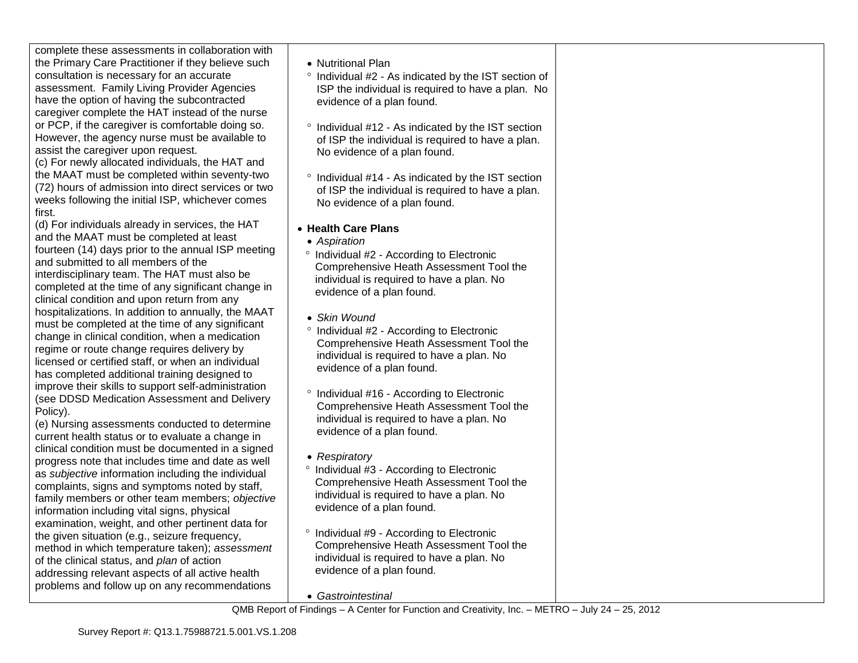| complete these assessments in collaboration with<br>the Primary Care Practitioner if they believe such<br>consultation is necessary for an accurate<br>assessment. Family Living Provider Agencies<br>have the option of having the subcontracted<br>caregiver complete the HAT instead of the nurse<br>or PCP, if the caregiver is comfortable doing so.<br>However, the agency nurse must be available to<br>assist the caregiver upon request.<br>(c) For newly allocated individuals, the HAT and<br>the MAAT must be completed within seventy-two<br>(72) hours of admission into direct services or two<br>weeks following the initial ISP, whichever comes<br>first. | • Nutritional Plan<br><sup>o</sup> Individual #2 - As ind<br>ISP the individual is<br>evidence of a plan fo<br>Individual #12 - As in<br>of ISP the individual<br>No evidence of a pla<br>$\circ$<br>Individual #14 - As in<br>of ISP the individual<br>No evidence of a pla |
|-----------------------------------------------------------------------------------------------------------------------------------------------------------------------------------------------------------------------------------------------------------------------------------------------------------------------------------------------------------------------------------------------------------------------------------------------------------------------------------------------------------------------------------------------------------------------------------------------------------------------------------------------------------------------------|------------------------------------------------------------------------------------------------------------------------------------------------------------------------------------------------------------------------------------------------------------------------------|
| (d) For individuals already in services, the HAT<br>and the MAAT must be completed at least<br>fourteen (14) days prior to the annual ISP meeting<br>and submitted to all members of the<br>interdisciplinary team. The HAT must also be<br>completed at the time of any significant change in<br>clinical condition and upon return from any                                                                                                                                                                                                                                                                                                                               | • Health Care Plans<br>• Aspiration<br>$\circ$<br>Individual #2 - Accor<br><b>Comprehensive Hea</b><br>individual is required<br>evidence of a plan fo                                                                                                                       |
| hospitalizations. In addition to annually, the MAAT<br>must be completed at the time of any significant<br>change in clinical condition, when a medication<br>regime or route change requires delivery by<br>licensed or certified staff, or when an individual<br>has completed additional training designed to<br>improve their skills to support self-administration                                                                                                                                                                                                                                                                                                     | • Skin Wound<br>Individual #2 - Accor<br>Comprehensive Hea<br>individual is required<br>evidence of a plan fo                                                                                                                                                                |
| (see DDSD Medication Assessment and Delivery<br>Policy).<br>(e) Nursing assessments conducted to determine<br>current health status or to evaluate a change in                                                                                                                                                                                                                                                                                                                                                                                                                                                                                                              | $\circ$<br>Individual #16 - Acco<br>Comprehensive Hea<br>individual is required<br>evidence of a plan fo                                                                                                                                                                     |
| clinical condition must be documented in a signed<br>progress note that includes time and date as well<br>as subjective information including the individual<br>complaints, signs and symptoms noted by staff,<br>family members or other team members; objective<br>information including vital signs, physical                                                                                                                                                                                                                                                                                                                                                            | • Respiratory<br>Individual #3 - Accor<br>$\circ$<br><b>Comprehensive Hea</b><br>individual is required<br>evidence of a plan fo                                                                                                                                             |
| examination, weight, and other pertinent data for<br>the given situation (e.g., seizure frequency,<br>method in which temperature taken); assessment                                                                                                                                                                                                                                                                                                                                                                                                                                                                                                                        | $\circ$<br>Individual #9 - Accor<br>Comprehensive Hea                                                                                                                                                                                                                        |

of the clinical status, and *plan* of action addressing relevant aspects of all active health problems and follow up on any recommendations

- dicated by the IST section of required to have a plan. No ound.
- indicated by the IST section is required to have a plan. an found.
- indicated by the IST section is required to have a plan. an found.
- rding to Electronic ath Assessment Tool the to have a plan. No bund.
- rding to Electronic ath Assessment Tool the d to have a plan. No ound.
- ording to Electronic ath Assessment Tool the d to have a plan. No ound.
- rding to Electronic ath Assessment Tool the ito have a plan. No ound.
- rding to Electronic Comprehensive Heath Assessment Tool the individual is required to have a plan. No evidence of a plan found.
- *Gastrointestinal*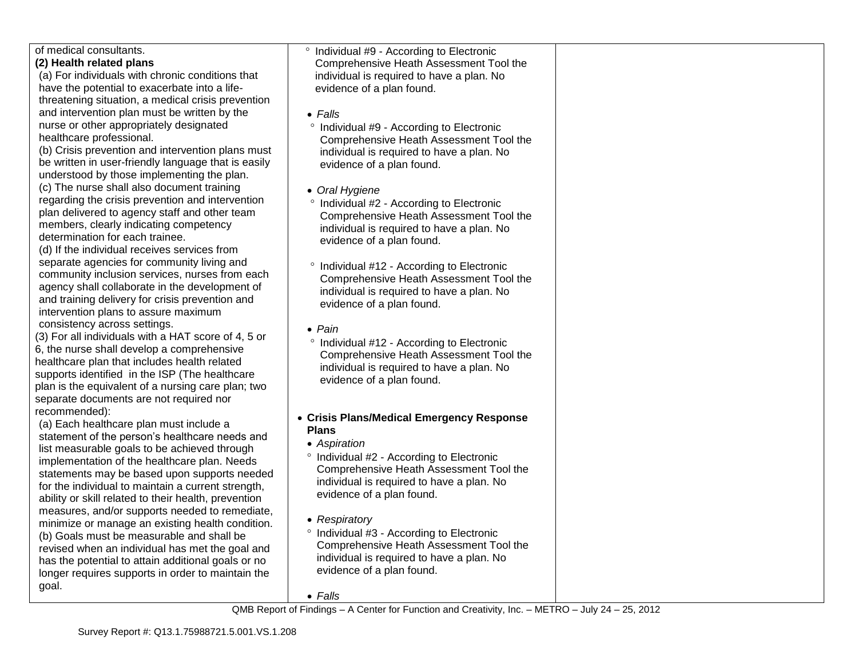| of medical consultants.                                                                 | ° Individual #9 - According to Electronic                              |  |
|-----------------------------------------------------------------------------------------|------------------------------------------------------------------------|--|
| (2) Health related plans                                                                | Comprehensive Heath Assessment Tool the                                |  |
| (a) For individuals with chronic conditions that                                        | individual is required to have a plan. No                              |  |
| have the potential to exacerbate into a life-                                           | evidence of a plan found.                                              |  |
| threatening situation, a medical crisis prevention                                      |                                                                        |  |
| and intervention plan must be written by the                                            | $\bullet$ Falls                                                        |  |
| nurse or other appropriately designated                                                 | ° Individual #9 - According to Electronic                              |  |
| healthcare professional.                                                                | Comprehensive Heath Assessment Tool the                                |  |
| (b) Crisis prevention and intervention plans must                                       | individual is required to have a plan. No                              |  |
| be written in user-friendly language that is easily                                     | evidence of a plan found.                                              |  |
| understood by those implementing the plan.                                              |                                                                        |  |
| (c) The nurse shall also document training                                              | • Oral Hygiene                                                         |  |
| regarding the crisis prevention and intervention                                        | ° Individual #2 - According to Electronic                              |  |
| plan delivered to agency staff and other team                                           | Comprehensive Heath Assessment Tool the                                |  |
| members, clearly indicating competency                                                  | individual is required to have a plan. No                              |  |
| determination for each trainee.                                                         | evidence of a plan found.                                              |  |
| (d) If the individual receives services from                                            |                                                                        |  |
| separate agencies for community living and                                              | ° Individual #12 - According to Electronic                             |  |
| community inclusion services, nurses from each                                          | Comprehensive Heath Assessment Tool the                                |  |
| agency shall collaborate in the development of                                          | individual is required to have a plan. No                              |  |
| and training delivery for crisis prevention and<br>intervention plans to assure maximum | evidence of a plan found.                                              |  |
| consistency across settings.                                                            |                                                                        |  |
| (3) For all individuals with a HAT score of 4, 5 or                                     | $\bullet$ Pain                                                         |  |
| 6, the nurse shall develop a comprehensive                                              | <sup>o</sup> Individual #12 - According to Electronic                  |  |
| healthcare plan that includes health related                                            | Comprehensive Heath Assessment Tool the                                |  |
| supports identified in the ISP (The healthcare                                          | individual is required to have a plan. No                              |  |
| plan is the equivalent of a nursing care plan; two                                      | evidence of a plan found.                                              |  |
| separate documents are not required nor                                                 |                                                                        |  |
| recommended):                                                                           |                                                                        |  |
| (a) Each healthcare plan must include a                                                 | • Crisis Plans/Medical Emergency Response                              |  |
| statement of the person's healthcare needs and                                          | <b>Plans</b>                                                           |  |
| list measurable goals to be achieved through                                            | • Aspiration                                                           |  |
| implementation of the healthcare plan. Needs                                            | <sup>o</sup> Individual #2 - According to Electronic                   |  |
| statements may be based upon supports needed                                            | Comprehensive Heath Assessment Tool the                                |  |
| for the individual to maintain a current strength,                                      | individual is required to have a plan. No                              |  |
| ability or skill related to their health, prevention                                    | evidence of a plan found.                                              |  |
| measures, and/or supports needed to remediate,                                          |                                                                        |  |
| minimize or manage an existing health condition.                                        | • Respiratory                                                          |  |
| (b) Goals must be measurable and shall be                                               | <sup>o</sup> Individual #3 - According to Electronic                   |  |
| revised when an individual has met the goal and                                         | Comprehensive Heath Assessment Tool the                                |  |
| has the potential to attain additional goals or no                                      | individual is required to have a plan. No<br>evidence of a plan found. |  |
| longer requires supports in order to maintain the                                       |                                                                        |  |
| goal.                                                                                   | $\bullet$ Falls                                                        |  |
|                                                                                         |                                                                        |  |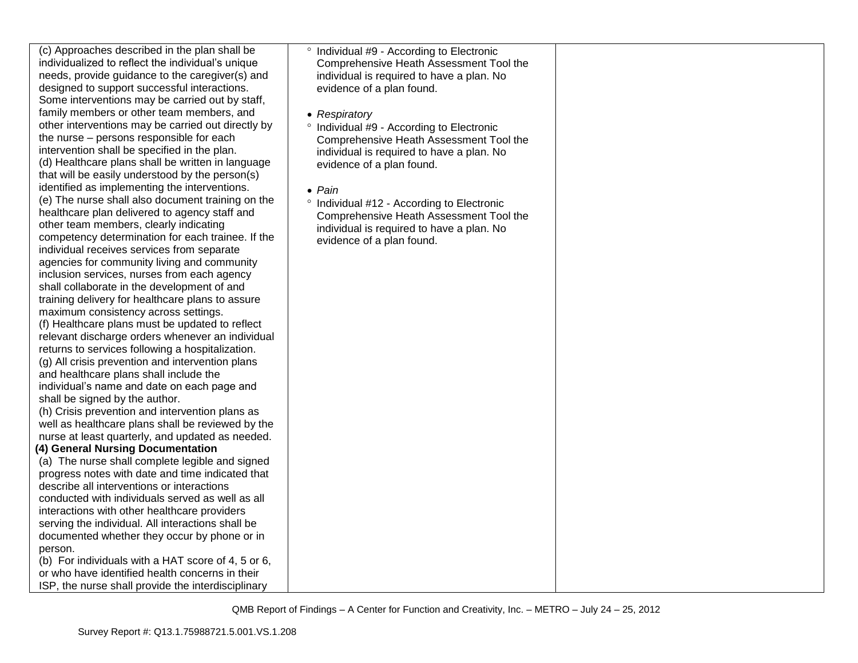| (c) Approaches described in the plan shall be                                                     | Individual #9 - /             |
|---------------------------------------------------------------------------------------------------|-------------------------------|
| individualized to reflect the individual's unique                                                 | Comprehensive                 |
| needs, provide guidance to the caregiver(s) and                                                   | individual is rec             |
| designed to support successful interactions.                                                      | evidence of a p               |
| Some interventions may be carried out by staff,                                                   |                               |
| family members or other team members, and                                                         | • Respiratory                 |
| other interventions may be carried out directly by                                                | ° Individual #9 - /           |
| the nurse - persons responsible for each                                                          | Comprehensive                 |
| intervention shall be specified in the plan.                                                      | individual is rec             |
| (d) Healthcare plans shall be written in language                                                 | evidence of a p               |
| that will be easily understood by the person(s)                                                   |                               |
| identified as implementing the interventions.                                                     | $\bullet$ Pain                |
| (e) The nurse shall also document training on the                                                 | <sup>o</sup> Individual #12 - |
| healthcare plan delivered to agency staff and                                                     | Comprehensive                 |
| other team members, clearly indicating                                                            | individual is rec             |
| competency determination for each trainee. If the                                                 | evidence of a p               |
| individual receives services from separate                                                        |                               |
| agencies for community living and community                                                       |                               |
| inclusion services, nurses from each agency                                                       |                               |
| shall collaborate in the development of and                                                       |                               |
| training delivery for healthcare plans to assure                                                  |                               |
| maximum consistency across settings.                                                              |                               |
| (f) Healthcare plans must be updated to reflect                                                   |                               |
| relevant discharge orders whenever an individual                                                  |                               |
| returns to services following a hospitalization.                                                  |                               |
| (g) All crisis prevention and intervention plans                                                  |                               |
| and healthcare plans shall include the                                                            |                               |
| individual's name and date on each page and                                                       |                               |
| shall be signed by the author.                                                                    |                               |
| (h) Crisis prevention and intervention plans as                                                   |                               |
| well as healthcare plans shall be reviewed by the                                                 |                               |
| nurse at least quarterly, and updated as needed.                                                  |                               |
| (4) General Nursing Documentation                                                                 |                               |
| (a) The nurse shall complete legible and signed                                                   |                               |
| progress notes with date and time indicated that<br>describe all interventions or interactions    |                               |
| conducted with individuals served as well as all                                                  |                               |
|                                                                                                   |                               |
| interactions with other healthcare providers<br>serving the individual. All interactions shall be |                               |
| documented whether they occur by phone or in                                                      |                               |
| person.                                                                                           |                               |
| (b) For individuals with a HAT score of 4, 5 or 6,                                                |                               |
| or who have identified health concerns in their                                                   |                               |
| ISP, the nurse shall provide the interdisciplinary                                                |                               |
|                                                                                                   |                               |

| $\circ$ | Individual #9 - According to Electronic<br>Comprehensive Heath Assessment Tool the<br>individual is required to have a plan. No<br>evidence of a plan found.                      |
|---------|-----------------------------------------------------------------------------------------------------------------------------------------------------------------------------------|
|         | • Respiratory<br>° Individual #9 - According to Electronic<br>Comprehensive Heath Assessment Tool the<br>individual is required to have a plan. No<br>evidence of a plan found.   |
|         | $\bullet$ Pain<br>° Individual #12 - According to Electronic<br>Comprehensive Heath Assessment Tool the<br>individual is required to have a plan. No<br>evidence of a plan found. |
|         |                                                                                                                                                                                   |
|         |                                                                                                                                                                                   |
|         |                                                                                                                                                                                   |
|         |                                                                                                                                                                                   |
|         |                                                                                                                                                                                   |
|         |                                                                                                                                                                                   |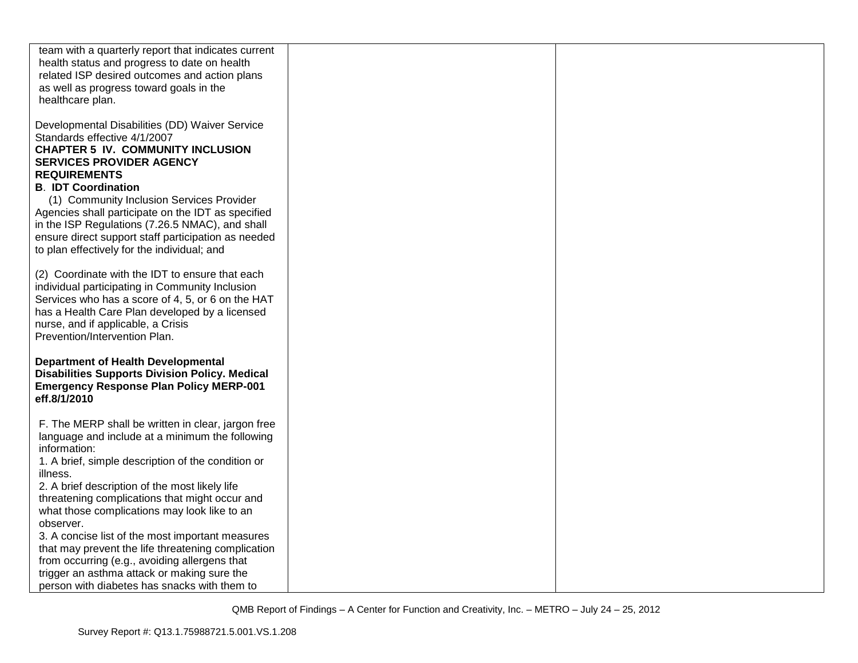| team with a quarterly report that indicates current<br>health status and progress to date on health<br>related ISP desired outcomes and action plans<br>as well as progress toward goals in the<br>healthcare plan.                                                                                                                                                                                                                                                                                                                                                                                                |  |
|--------------------------------------------------------------------------------------------------------------------------------------------------------------------------------------------------------------------------------------------------------------------------------------------------------------------------------------------------------------------------------------------------------------------------------------------------------------------------------------------------------------------------------------------------------------------------------------------------------------------|--|
| Developmental Disabilities (DD) Waiver Service<br>Standards effective 4/1/2007<br><b>CHAPTER 5 IV. COMMUNITY INCLUSION</b><br><b>SERVICES PROVIDER AGENCY</b><br><b>REQUIREMENTS</b><br><b>B. IDT Coordination</b><br>(1) Community Inclusion Services Provider<br>Agencies shall participate on the IDT as specified<br>in the ISP Regulations (7.26.5 NMAC), and shall<br>ensure direct support staff participation as needed<br>to plan effectively for the individual; and                                                                                                                                     |  |
| (2) Coordinate with the IDT to ensure that each<br>individual participating in Community Inclusion<br>Services who has a score of 4, 5, or 6 on the HAT<br>has a Health Care Plan developed by a licensed<br>nurse, and if applicable, a Crisis<br>Prevention/Intervention Plan.                                                                                                                                                                                                                                                                                                                                   |  |
| <b>Department of Health Developmental</b><br><b>Disabilities Supports Division Policy. Medical</b><br><b>Emergency Response Plan Policy MERP-001</b><br>eff.8/1/2010                                                                                                                                                                                                                                                                                                                                                                                                                                               |  |
| F. The MERP shall be written in clear, jargon free<br>language and include at a minimum the following<br>information:<br>1. A brief, simple description of the condition or<br>illness.<br>2. A brief description of the most likely life<br>threatening complications that might occur and<br>what those complications may look like to an<br>observer.<br>3. A concise list of the most important measures<br>that may prevent the life threatening complication<br>from occurring (e.g., avoiding allergens that<br>trigger an asthma attack or making sure the<br>person with diabetes has snacks with them to |  |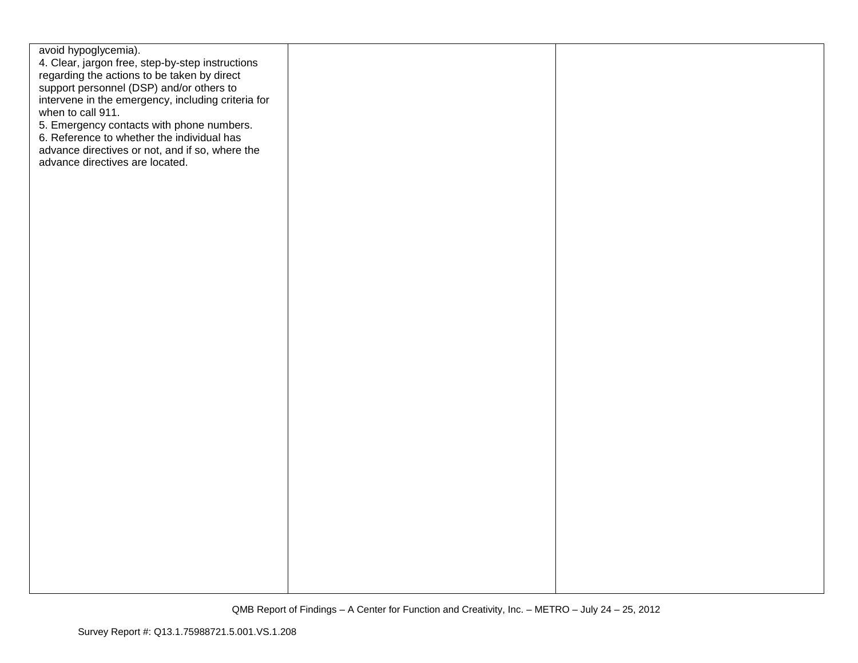| avoid hypoglycemia).<br>4. Clear, jargon free, step-by-step instructions<br>regarding the actions to be taken by direct<br>support personnel (DSP) and/or others to<br>intervene in the emergency, including criteria for<br>when to call 911.<br>5. Emergency contacts with phone numbers.<br>6. Reference to whether the individual has<br>advance directives or not, and if so, where the<br>advance directives are located. |  |
|---------------------------------------------------------------------------------------------------------------------------------------------------------------------------------------------------------------------------------------------------------------------------------------------------------------------------------------------------------------------------------------------------------------------------------|--|
|                                                                                                                                                                                                                                                                                                                                                                                                                                 |  |
|                                                                                                                                                                                                                                                                                                                                                                                                                                 |  |
|                                                                                                                                                                                                                                                                                                                                                                                                                                 |  |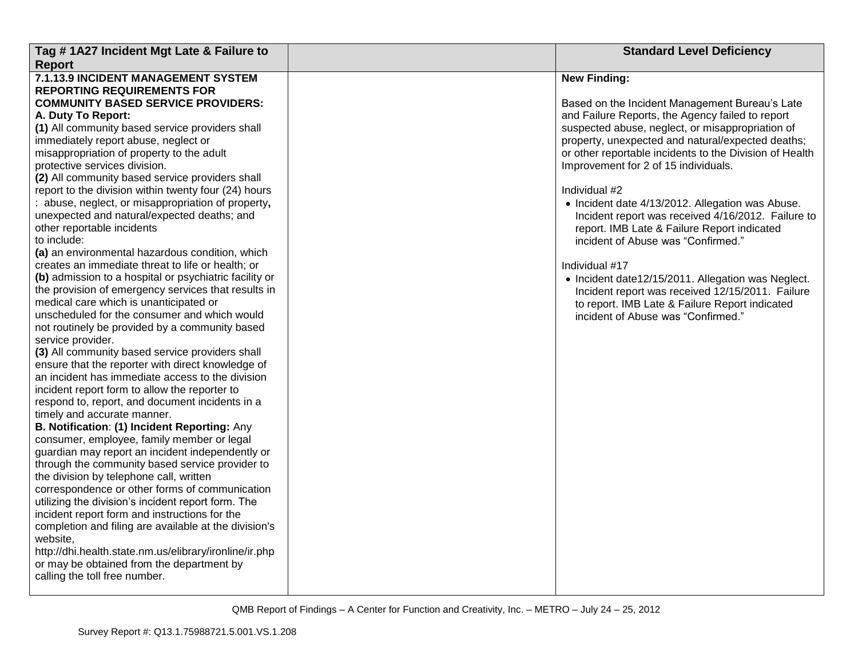| Tag #1A27 Incident Mgt Late & Failure to                                    | <b>Standard Level Deficiency</b>                        |
|-----------------------------------------------------------------------------|---------------------------------------------------------|
| <b>Report</b>                                                               |                                                         |
| 7.1.13.9 INCIDENT MANAGEMENT SYSTEM                                         | <b>New Finding:</b>                                     |
| <b>REPORTING REQUIREMENTS FOR</b>                                           |                                                         |
| <b>COMMUNITY BASED SERVICE PROVIDERS:</b>                                   | Based on the Incident Management Bureau's Late          |
| A. Duty To Report:                                                          | and Failure Reports, the Agency failed to report        |
| (1) All community based service providers shall                             | suspected abuse, neglect, or misappropriation of        |
| immediately report abuse, neglect or                                        | property, unexpected and natural/expected deaths;       |
| misappropriation of property to the adult                                   | or other reportable incidents to the Division of Health |
| protective services division.                                               | Improvement for 2 of 15 individuals.                    |
| (2) All community based service providers shall                             |                                                         |
| report to the division within twenty four (24) hours                        | Individual #2                                           |
| abuse, neglect, or misappropriation of property,                            | • Incident date 4/13/2012. Allegation was Abuse.        |
| unexpected and natural/expected deaths; and                                 | Incident report was received 4/16/2012. Failure to      |
| other reportable incidents                                                  | report. IMB Late & Failure Report indicated             |
| to include:                                                                 | incident of Abuse was "Confirmed."                      |
| (a) an environmental hazardous condition, which                             |                                                         |
| creates an immediate threat to life or health; or                           | Individual #17                                          |
| (b) admission to a hospital or psychiatric facility or                      | • Incident date12/15/2011. Allegation was Neglect.      |
| the provision of emergency services that results in                         | Incident report was received 12/15/2011. Failure        |
| medical care which is unanticipated or                                      | to report. IMB Late & Failure Report indicated          |
| unscheduled for the consumer and which would                                | incident of Abuse was "Confirmed."                      |
| not routinely be provided by a community based                              |                                                         |
| service provider.                                                           |                                                         |
| (3) All community based service providers shall                             |                                                         |
| ensure that the reporter with direct knowledge of                           |                                                         |
| an incident has immediate access to the division                            |                                                         |
| incident report form to allow the reporter to                               |                                                         |
| respond to, report, and document incidents in a                             |                                                         |
| timely and accurate manner.<br>B. Notification: (1) Incident Reporting: Any |                                                         |
| consumer, employee, family member or legal                                  |                                                         |
| guardian may report an incident independently or                            |                                                         |
| through the community based service provider to                             |                                                         |
| the division by telephone call, written                                     |                                                         |
| correspondence or other forms of communication                              |                                                         |
| utilizing the division's incident report form. The                          |                                                         |
| incident report form and instructions for the                               |                                                         |
| completion and filing are available at the division's                       |                                                         |
| website,                                                                    |                                                         |
| http://dhi.health.state.nm.us/elibrary/ironline/ir.php                      |                                                         |
| or may be obtained from the department by                                   |                                                         |
| calling the toll free number.                                               |                                                         |
|                                                                             |                                                         |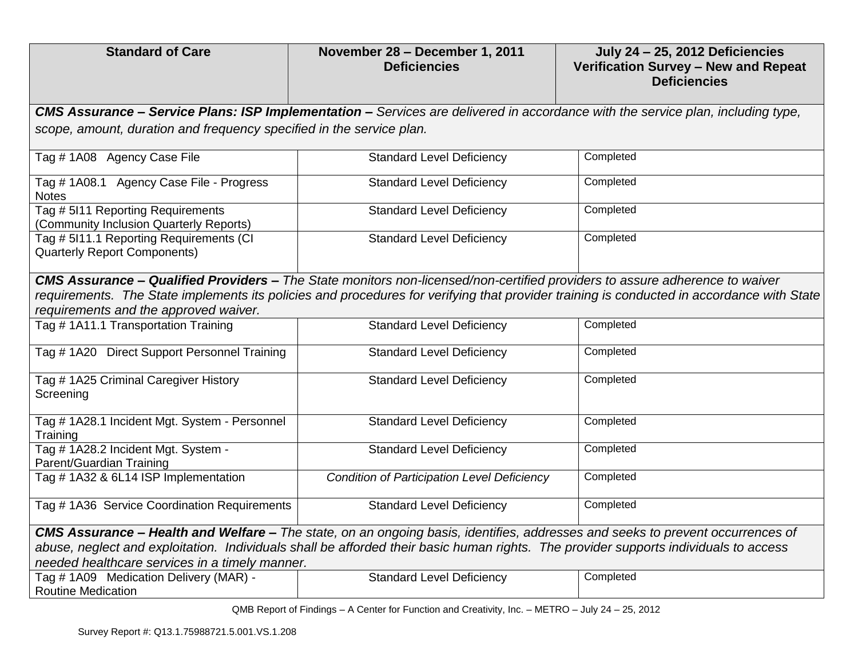| <b>Standard of Care</b>                                                                                                                                                                                                                                                                                           | November 28 - December 1, 2011<br><b>Deficiencies</b>                                                                                  | July 24 - 25, 2012 Deficiencies<br>Verification Survey - New and Repeat<br><b>Deficiencies</b> |  |  |
|-------------------------------------------------------------------------------------------------------------------------------------------------------------------------------------------------------------------------------------------------------------------------------------------------------------------|----------------------------------------------------------------------------------------------------------------------------------------|------------------------------------------------------------------------------------------------|--|--|
|                                                                                                                                                                                                                                                                                                                   | <b>CMS Assurance – Service Plans: ISP Implementation –</b> Services are delivered in accordance with the service plan, including type, |                                                                                                |  |  |
| scope, amount, duration and frequency specified in the service plan.                                                                                                                                                                                                                                              |                                                                                                                                        |                                                                                                |  |  |
| Tag # 1A08 Agency Case File                                                                                                                                                                                                                                                                                       | <b>Standard Level Deficiency</b>                                                                                                       | Completed                                                                                      |  |  |
| Tag # 1A08.1 Agency Case File - Progress<br><b>Notes</b>                                                                                                                                                                                                                                                          | <b>Standard Level Deficiency</b>                                                                                                       | Completed                                                                                      |  |  |
| Tag # 5I11 Reporting Requirements<br>(Community Inclusion Quarterly Reports)                                                                                                                                                                                                                                      | <b>Standard Level Deficiency</b>                                                                                                       | Completed                                                                                      |  |  |
| Tag # 5I11.1 Reporting Requirements (CI<br><b>Quarterly Report Components)</b>                                                                                                                                                                                                                                    | <b>Standard Level Deficiency</b>                                                                                                       | Completed                                                                                      |  |  |
| CMS Assurance - Qualified Providers - The State monitors non-licensed/non-certified providers to assure adherence to waiver<br>requirements. The State implements its policies and procedures for verifying that provider training is conducted in accordance with State<br>requirements and the approved waiver. |                                                                                                                                        |                                                                                                |  |  |
| Tag # 1A11.1 Transportation Training                                                                                                                                                                                                                                                                              | <b>Standard Level Deficiency</b>                                                                                                       | Completed                                                                                      |  |  |
| Tag # 1A20 Direct Support Personnel Training                                                                                                                                                                                                                                                                      | <b>Standard Level Deficiency</b>                                                                                                       | Completed                                                                                      |  |  |
| Tag # 1A25 Criminal Caregiver History<br>Screening                                                                                                                                                                                                                                                                | <b>Standard Level Deficiency</b>                                                                                                       | Completed                                                                                      |  |  |
| Tag # 1A28.1 Incident Mgt. System - Personnel<br>Training                                                                                                                                                                                                                                                         | <b>Standard Level Deficiency</b>                                                                                                       | Completed                                                                                      |  |  |
| Tag # 1A28.2 Incident Mgt. System -<br>Parent/Guardian Training                                                                                                                                                                                                                                                   | <b>Standard Level Deficiency</b>                                                                                                       | Completed                                                                                      |  |  |
| Tag # 1A32 & 6L14 ISP Implementation                                                                                                                                                                                                                                                                              | <b>Condition of Participation Level Deficiency</b>                                                                                     | Completed                                                                                      |  |  |
| Tag # 1A36 Service Coordination Requirements                                                                                                                                                                                                                                                                      | <b>Standard Level Deficiency</b>                                                                                                       | Completed                                                                                      |  |  |
| CMS Assurance - Health and Welfare - The state, on an ongoing basis, identifies, addresses and seeks to prevent occurrences of                                                                                                                                                                                    |                                                                                                                                        |                                                                                                |  |  |
| abuse, neglect and exploitation. Individuals shall be afforded their basic human rights. The provider supports individuals to access<br>needed healthcare services in a timely manner.                                                                                                                            |                                                                                                                                        |                                                                                                |  |  |
| Tag # 1A09 Medication Delivery (MAR) -<br><b>Routine Medication</b>                                                                                                                                                                                                                                               | <b>Standard Level Deficiency</b>                                                                                                       | Completed                                                                                      |  |  |

QMB Report of Findings – A Center for Function and Creativity, Inc. – METRO – July 24 – 25, 2012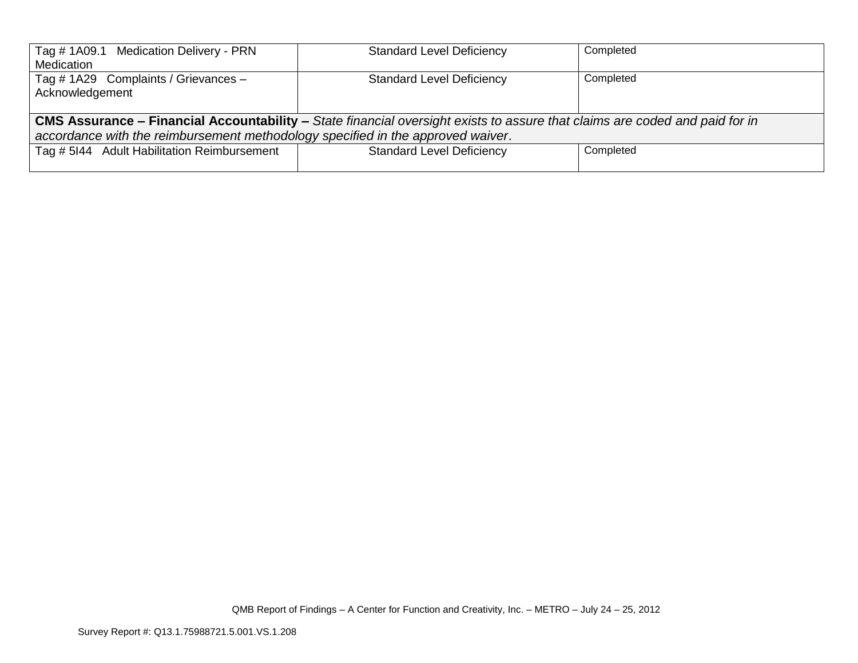| Tag # 1A09.1 Medication Delivery - PRN                                                                                             | <b>Standard Level Deficiency</b> | Completed |  |
|------------------------------------------------------------------------------------------------------------------------------------|----------------------------------|-----------|--|
| Medication                                                                                                                         |                                  |           |  |
| Tag # 1A29 Complaints / Grievances -                                                                                               | <b>Standard Level Deficiency</b> | Completed |  |
| Acknowledgement                                                                                                                    |                                  |           |  |
|                                                                                                                                    |                                  |           |  |
| <b>CMS Assurance – Financial Accountability –</b> State financial oversight exists to assure that claims are coded and paid for in |                                  |           |  |
| accordance with the reimbursement methodology specified in the approved waiver.                                                    |                                  |           |  |
| Tag # 5144 Adult Habilitation Reimbursement                                                                                        | <b>Standard Level Deficiency</b> | Completed |  |
|                                                                                                                                    |                                  |           |  |